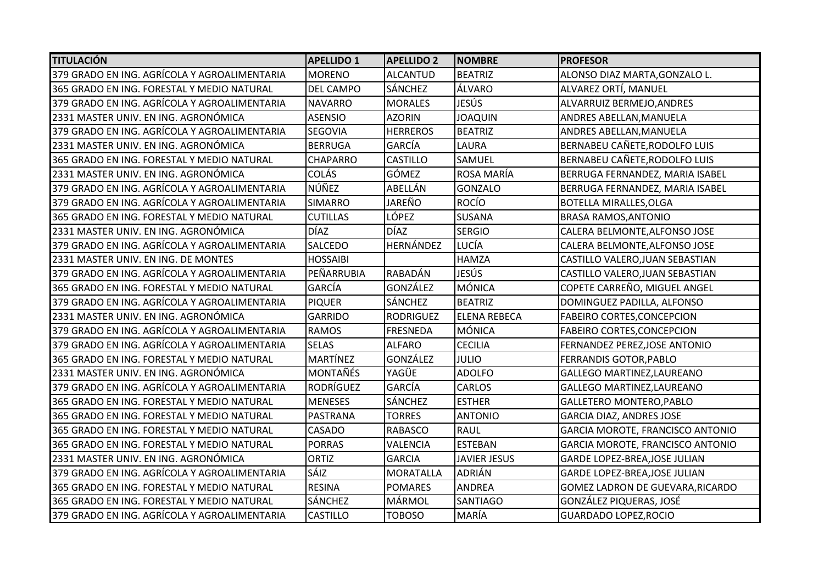| <b>TITULACIÓN</b>                            | <b>APELLIDO 1</b> | <b>APELLIDO 2</b> | <b>NOMBRE</b>       | <b>PROFESOR</b>                   |
|----------------------------------------------|-------------------|-------------------|---------------------|-----------------------------------|
| 379 GRADO EN ING. AGRÍCOLA Y AGROALIMENTARIA | <b>MORENO</b>     | <b>ALCANTUD</b>   | <b>BEATRIZ</b>      | ALONSO DIAZ MARTA, GONZALO L.     |
| 365 GRADO EN ING. FORESTAL Y MEDIO NATURAL   | <b>DEL CAMPO</b>  | <b>SÁNCHEZ</b>    | ÁLVARO              | ALVAREZ ORTÍ, MANUEL              |
| 379 GRADO EN ING. AGRÍCOLA Y AGROALIMENTARIA | <b>NAVARRO</b>    | <b>MORALES</b>    | JESÚS               | ALVARRUIZ BERMEJO, ANDRES         |
| 2331 MASTER UNIV. EN ING. AGRONÓMICA         | <b>ASENSIO</b>    | <b>AZORIN</b>     | <b>JOAQUIN</b>      | ANDRES ABELLAN, MANUELA           |
| 379 GRADO EN ING. AGRÍCOLA Y AGROALIMENTARIA | <b>SEGOVIA</b>    | <b>HERREROS</b>   | <b>BEATRIZ</b>      | ANDRES ABELLAN, MANUELA           |
| 2331 MASTER UNIV. EN ING. AGRONÓMICA         | <b>BERRUGA</b>    | <b>GARCÍA</b>     | <b>LAURA</b>        | BERNABEU CAÑETE, RODOLFO LUIS     |
| 365 GRADO EN ING. FORESTAL Y MEDIO NATURAL   | CHAPARRO          | <b>CASTILLO</b>   | SAMUEL              | BERNABEU CAÑETE, RODOLFO LUIS     |
| 2331 MASTER UNIV. EN ING. AGRONÓMICA         | COLÁS             | <b>GÓMEZ</b>      | ROSA MARÍA          | BERRUGA FERNANDEZ, MARIA ISABEL   |
| 379 GRADO EN ING. AGRÍCOLA Y AGROALIMENTARIA | NÚÑEZ             | ABELLÁN           | <b>GONZALO</b>      | BERRUGA FERNANDEZ, MARIA ISABEL   |
| 379 GRADO EN ING. AGRÍCOLA Y AGROALIMENTARIA | <b>SIMARRO</b>    | JAREÑO            | <b>ROCÍO</b>        | BOTELLA MIRALLES, OLGA            |
| 365 GRADO EN ING. FORESTAL Y MEDIO NATURAL   | <b>CUTILLAS</b>   | LÓPEZ             | <b>SUSANA</b>       | <b>BRASA RAMOS, ANTONIO</b>       |
| 2331 MASTER UNIV. EN ING. AGRONÓMICA         | <b>DÍAZ</b>       | <b>DÍAZ</b>       | <b>SERGIO</b>       | CALERA BELMONTE, ALFONSO JOSE     |
| 379 GRADO EN ING. AGRÍCOLA Y AGROALIMENTARIA | <b>SALCEDO</b>    | HERNÁNDEZ         | LUCÍA               | CALERA BELMONTE, ALFONSO JOSE     |
| 2331 MASTER UNIV. EN ING. DE MONTES          | <b>HOSSAIBI</b>   |                   | <b>HAMZA</b>        | CASTILLO VALERO, JUAN SEBASTIAN   |
| 379 GRADO EN ING. AGRÍCOLA Y AGROALIMENTARIA | PEÑARRUBIA        | <b>RABADÁN</b>    | JESÚS               | CASTILLO VALERO, JUAN SEBASTIAN   |
| 365 GRADO EN ING. FORESTAL Y MEDIO NATURAL   | GARCÍA            | GONZÁLEZ          | <b>MÓNICA</b>       | COPETE CARREÑO, MIGUEL ANGEL      |
| 379 GRADO EN ING. AGRÍCOLA Y AGROALIMENTARIA | <b>PIQUER</b>     | <b>SÁNCHEZ</b>    | <b>BEATRIZ</b>      | DOMINGUEZ PADILLA, ALFONSO        |
| 2331 MASTER UNIV. EN ING. AGRONÓMICA         | <b>GARRIDO</b>    | <b>RODRIGUEZ</b>  | <b>ELENA REBECA</b> | <b>FABEIRO CORTES, CONCEPCION</b> |
| 379 GRADO EN ING. AGRÍCOLA Y AGROALIMENTARIA | <b>RAMOS</b>      | <b>FRESNEDA</b>   | <b>MÓNICA</b>       | <b>FABEIRO CORTES, CONCEPCION</b> |
| 379 GRADO EN ING. AGRÍCOLA Y AGROALIMENTARIA | <b>SELAS</b>      | <b>ALFARO</b>     | <b>CECILIA</b>      | FERNANDEZ PEREZ, JOSE ANTONIO     |
| 365 GRADO EN ING. FORESTAL Y MEDIO NATURAL   | <b>MARTÍNEZ</b>   | GONZÁLEZ          | <b>JULIO</b>        | <b>FERRANDIS GOTOR, PABLO</b>     |
| 2331 MASTER UNIV. EN ING. AGRONÓMICA         | <b>MONTAÑÉS</b>   | YAGÜE             | <b>ADOLFO</b>       | <b>GALLEGO MARTINEZ, LAUREANO</b> |
| 379 GRADO EN ING. AGRÍCOLA Y AGROALIMENTARIA | <b>RODRÍGUEZ</b>  | <b>GARCÍA</b>     | <b>CARLOS</b>       | <b>GALLEGO MARTINEZ, LAUREANO</b> |
| 365 GRADO EN ING. FORESTAL Y MEDIO NATURAL   | <b>MENESES</b>    | <b>SÁNCHEZ</b>    | <b>ESTHER</b>       | <b>GALLETERO MONTERO, PABLO</b>   |
| 365 GRADO EN ING. FORESTAL Y MEDIO NATURAL   | <b>PASTRANA</b>   | <b>TORRES</b>     | <b>ANTONIO</b>      | <b>GARCIA DIAZ, ANDRES JOSE</b>   |
| 365 GRADO EN ING. FORESTAL Y MEDIO NATURAL   | CASADO            | <b>RABASCO</b>    | <b>RAUL</b>         | GARCIA MOROTE, FRANCISCO ANTONIO  |
| 365 GRADO EN ING. FORESTAL Y MEDIO NATURAL   | <b>PORRAS</b>     | <b>VALENCIA</b>   | <b>ESTEBAN</b>      | GARCIA MOROTE, FRANCISCO ANTONIO  |
| 2331 MASTER UNIV. EN ING. AGRONÓMICA         | <b>ORTIZ</b>      | <b>GARCIA</b>     | <b>JAVIER JESUS</b> | GARDE LOPEZ-BREA, JOSE JULIAN     |
| 379 GRADO EN ING. AGRÍCOLA Y AGROALIMENTARIA | SÁIZ              | <b>MORATALLA</b>  | ADRIÁN              | GARDE LOPEZ-BREA, JOSE JULIAN     |
| 365 GRADO EN ING. FORESTAL Y MEDIO NATURAL   | <b>RESINA</b>     | <b>POMARES</b>    | <b>ANDREA</b>       | GOMEZ LADRON DE GUEVARA, RICARDO  |
| 365 GRADO EN ING. FORESTAL Y MEDIO NATURAL   | <b>SÁNCHEZ</b>    | MÁRMOL            | <b>SANTIAGO</b>     | GONZÁLEZ PIQUERAS, JOSÉ           |
| 379 GRADO EN ING. AGRÍCOLA Y AGROALIMENTARIA | <b>CASTILLO</b>   | <b>TOBOSO</b>     | MARÍA               | <b>GUARDADO LOPEZ, ROCIO</b>      |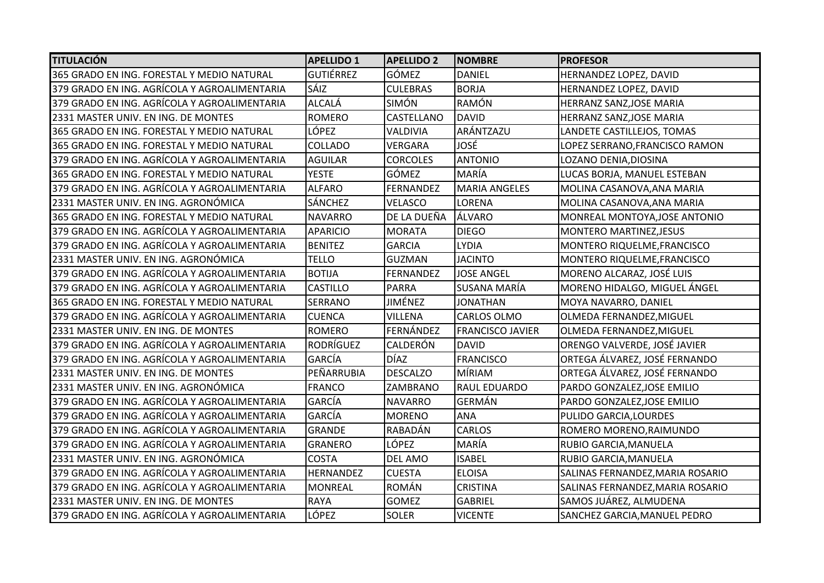| <b>TITULACIÓN</b>                            | <b>APELLIDO 1</b> | <b>APELLIDO 2</b> | <b>NOMBRE</b>           | <b>PROFESOR</b>                  |
|----------------------------------------------|-------------------|-------------------|-------------------------|----------------------------------|
| 365 GRADO EN ING. FORESTAL Y MEDIO NATURAL   | <b>GUTIÉRREZ</b>  | <b>GÓMEZ</b>      | <b>DANIEL</b>           | HERNANDEZ LOPEZ, DAVID           |
| 379 GRADO EN ING. AGRÍCOLA Y AGROALIMENTARIA | SÁIZ              | <b>CULEBRAS</b>   | <b>BORJA</b>            | HERNANDEZ LOPEZ, DAVID           |
| 379 GRADO EN ING. AGRÍCOLA Y AGROALIMENTARIA | <b>ALCALÁ</b>     | <b>SIMÓN</b>      | RAMÓN                   | HERRANZ SANZ, JOSE MARIA         |
| 2331 MASTER UNIV. EN ING. DE MONTES          | <b>ROMERO</b>     | CASTELLANO        | <b>DAVID</b>            | HERRANZ SANZ, JOSE MARIA         |
| 365 GRADO EN ING. FORESTAL Y MEDIO NATURAL   | LÓPEZ             | VALDIVIA          | ARÁNTZAZU               | LANDETE CASTILLEJOS, TOMAS       |
| 365 GRADO EN ING. FORESTAL Y MEDIO NATURAL   | <b>COLLADO</b>    | <b>VERGARA</b>    | JOSÉ                    | LOPEZ SERRANO, FRANCISCO RAMON   |
| 379 GRADO EN ING. AGRÍCOLA Y AGROALIMENTARIA | <b>AGUILAR</b>    | <b>CORCOLES</b>   | <b>ANTONIO</b>          | LOZANO DENIA, DIOSINA            |
| 365 GRADO EN ING. FORESTAL Y MEDIO NATURAL   | <b>YESTE</b>      | <b>GÓMEZ</b>      | MARÍA                   | LUCAS BORJA, MANUEL ESTEBAN      |
| 379 GRADO EN ING. AGRÍCOLA Y AGROALIMENTARIA | <b>ALFARO</b>     | FERNANDEZ         | <b>MARIA ANGELES</b>    | MOLINA CASANOVA, ANA MARIA       |
| 2331 MASTER UNIV. EN ING. AGRONÓMICA         | <b>SÁNCHEZ</b>    | <b>VELASCO</b>    | LORENA                  | MOLINA CASANOVA, ANA MARIA       |
| 365 GRADO EN ING. FORESTAL Y MEDIO NATURAL   | <b>NAVARRO</b>    | DE LA DUEÑA       | ÁLVARO                  | MONREAL MONTOYA, JOSE ANTONIO    |
| 379 GRADO EN ING. AGRÍCOLA Y AGROALIMENTARIA | <b>APARICIO</b>   | <b>MORATA</b>     | <b>DIEGO</b>            | MONTERO MARTINEZ, JESUS          |
| 379 GRADO EN ING. AGRÍCOLA Y AGROALIMENTARIA | <b>BENITEZ</b>    | <b>GARCIA</b>     | <b>LYDIA</b>            | MONTERO RIQUELME, FRANCISCO      |
| 2331 MASTER UNIV. EN ING. AGRONÓMICA         | <b>TELLO</b>      | <b>GUZMAN</b>     | <b>JACINTO</b>          | MONTERO RIQUELME, FRANCISCO      |
| 379 GRADO EN ING. AGRÍCOLA Y AGROALIMENTARIA | <b>BOTIJA</b>     | FERNANDEZ         | <b>JOSE ANGEL</b>       | MORENO ALCARAZ, JOSÉ LUIS        |
| 379 GRADO EN ING. AGRÍCOLA Y AGROALIMENTARIA | <b>CASTILLO</b>   | <b>PARRA</b>      | <b>SUSANA MARÍA</b>     | MORENO HIDALGO, MIGUEL ÁNGEL     |
| 365 GRADO EN ING. FORESTAL Y MEDIO NATURAL   | <b>SERRANO</b>    | JIMÉNEZ           | <b>JONATHAN</b>         | MOYA NAVARRO, DANIEL             |
| 379 GRADO EN ING. AGRÍCOLA Y AGROALIMENTARIA | <b>CUENCA</b>     | <b>VILLENA</b>    | CARLOS OLMO             | OLMEDA FERNANDEZ, MIGUEL         |
| 2331 MASTER UNIV. EN ING. DE MONTES          | <b>ROMERO</b>     | FERNÁNDEZ         | <b>FRANCISCO JAVIER</b> | OLMEDA FERNANDEZ, MIGUEL         |
| 379 GRADO EN ING. AGRÍCOLA Y AGROALIMENTARIA | <b>RODRÍGUEZ</b>  | <b>CALDERÓN</b>   | <b>DAVID</b>            | ORENGO VALVERDE, JOSÉ JAVIER     |
| 379 GRADO EN ING. AGRÍCOLA Y AGROALIMENTARIA | GARCÍA            | <b>DÍAZ</b>       | <b>FRANCISCO</b>        | ORTEGA ÁLVAREZ, JOSÉ FERNANDO    |
| 2331 MASTER UNIV. EN ING. DE MONTES          | PEÑARRUBIA        | <b>DESCALZO</b>   | MÍRIAM                  | ORTEGA ÁLVAREZ, JOSÉ FERNANDO    |
| 2331 MASTER UNIV. EN ING. AGRONÓMICA         | <b>FRANCO</b>     | <b>ZAMBRANO</b>   | <b>RAUL EDUARDO</b>     | PARDO GONZALEZ, JOSE EMILIO      |
| 379 GRADO EN ING. AGRÍCOLA Y AGROALIMENTARIA | <b>GARCÍA</b>     | NAVARRO           | <b>GERMÁN</b>           | PARDO GONZALEZ, JOSE EMILIO      |
| 379 GRADO EN ING. AGRÍCOLA Y AGROALIMENTARIA | GARCÍA            | <b>MORENO</b>     | <b>ANA</b>              | PULIDO GARCIA, LOURDES           |
| 379 GRADO EN ING. AGRÍCOLA Y AGROALIMENTARIA | <b>GRANDE</b>     | RABADÁN           | <b>CARLOS</b>           | ROMERO MORENO, RAIMUNDO          |
| 379 GRADO EN ING. AGRÍCOLA Y AGROALIMENTARIA | <b>GRANERO</b>    | LÓPEZ             | MARÍA                   | RUBIO GARCIA, MANUELA            |
| 2331 MASTER UNIV. EN ING. AGRONÓMICA         | <b>COSTA</b>      | <b>DEL AMO</b>    | <b>ISABEL</b>           | RUBIO GARCIA, MANUELA            |
| 379 GRADO EN ING. AGRÍCOLA Y AGROALIMENTARIA | HERNANDEZ         | <b>CUESTA</b>     | <b>ELOISA</b>           | SALINAS FERNANDEZ, MARIA ROSARIO |
| 379 GRADO EN ING. AGRÍCOLA Y AGROALIMENTARIA | <b>MONREAL</b>    | ROMÁN             | <b>CRISTINA</b>         | SALINAS FERNANDEZ, MARIA ROSARIO |
| 2331 MASTER UNIV. EN ING. DE MONTES          | <b>RAYA</b>       | <b>GOMEZ</b>      | <b>GABRIEL</b>          | SAMOS JUÁREZ, ALMUDENA           |
| 379 GRADO EN ING. AGRÍCOLA Y AGROALIMENTARIA | LÓPEZ             | <b>SOLER</b>      | <b>VICENTE</b>          | SANCHEZ GARCIA, MANUEL PEDRO     |